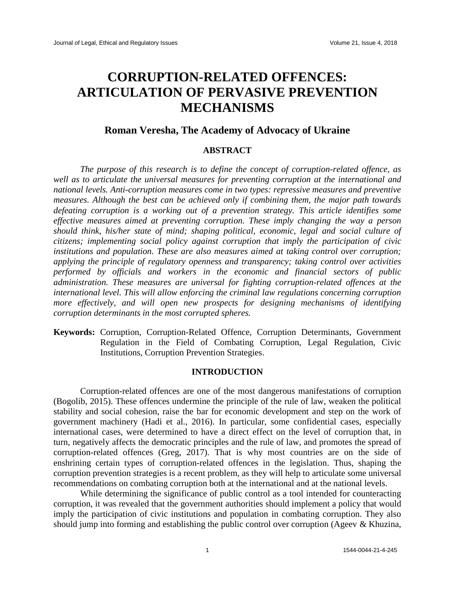# **CORRUPTION-RELATED OFFENCES: ARTICULATION OF PERVASIVE PREVENTION MECHANISMS**

# **Roman Veresha, The Academy of Advocacy of Ukraine**

#### **ABSTRACT**

*The purpose of this research is to define the concept of corruption-related offence, as well as to articulate the universal measures for preventing corruption at the international and national levels. Anti-corruption measures come in two types: repressive measures and preventive measures. Although the best can be achieved only if combining them, the major path towards defeating corruption is a working out of a prevention strategy. This article identifies some effective measures aimed at preventing corruption. These imply changing the way a person should think, his/her state of mind; shaping political, economic, legal and social culture of citizens; implementing social policy against corruption that imply the participation of civic institutions and population. These are also measures aimed at taking control over corruption; applying the principle of regulatory openness and transparency; taking control over activities performed by officials and workers in the economic and financial sectors of public administration. These measures are universal for fighting corruption-related offences at the international level. This will allow enforcing the criminal law regulations concerning corruption more effectively, and will open new prospects for designing mechanisms of identifying corruption determinants in the most corrupted spheres.*

**Keywords:** Corruption, Corruption-Related Offence, Corruption Determinants, Government Regulation in the Field of Combating Corruption, Legal Regulation, Civic Institutions, Corruption Prevention Strategies.

## **INTRODUCTION**

Corruption-related offences are one of the most dangerous manifestations of corruption (Bogolib, 2015). These offences undermine the principle of the rule of law, weaken the political stability and social cohesion, raise the bar for economic development and step on the work of government machinery (Hadi et al., 2016). In particular, some confidential cases, especially international cases, were determined to have a direct effect on the level of corruption that, in turn, negatively affects the democratic principles and the rule of law, and promotes the spread of corruption-related offences (Greg, 2017). That is why most countries are on the side of enshrining certain types of corruption-related offences in the legislation. Thus, shaping the corruption prevention strategies is a recent problem, as they will help to articulate some universal recommendations on combating corruption both at the international and at the national levels.

While determining the significance of public control as a tool intended for counteracting corruption, it was revealed that the government authorities should implement a policy that would imply the participation of civic institutions and population in combating corruption. They also should jump into forming and establishing the public control over corruption (Ageev & Khuzina,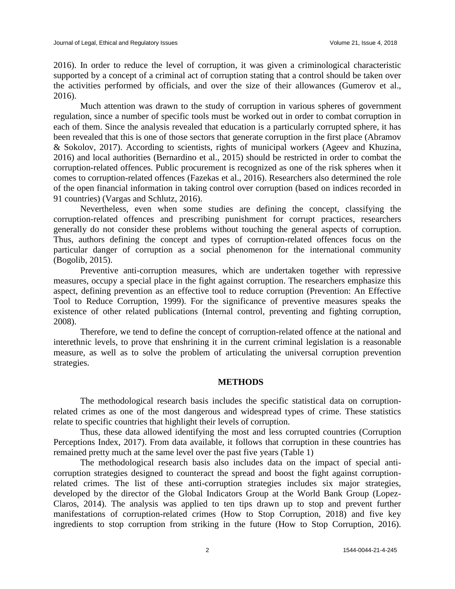2016). In order to reduce the level of corruption, it was given a criminological characteristic supported by a concept of a criminal act of corruption stating that a control should be taken over the activities performed by officials, and over the size of their allowances (Gumerov et al., 2016).

Much attention was drawn to the study of corruption in various spheres of government regulation, since a number of specific tools must be worked out in order to combat corruption in each of them. Since the analysis revealed that education is a particularly corrupted sphere, it has been revealed that this is one of those sectors that generate corruption in the first place (Abramov & Sokolov, 2017). According to scientists, rights of municipal workers (Ageev and Khuzina, 2016) and local authorities (Bernardino et al., 2015) should be restricted in order to combat the corruption-related offences. Public procurement is recognized as one of the risk spheres when it comes to corruption-related offences (Fazekas et al., 2016). Researchers also determined the role of the open financial information in taking control over corruption (based on indices recorded in 91 countries) (Vargas and Schlutz, 2016).

Nevertheless, even when some studies are defining the concept, classifying the corruption-related offences and prescribing punishment for corrupt practices, researchers generally do not consider these problems without touching the general aspects of corruption. Thus, authors defining the concept and types of corruption-related offences focus on the particular danger of corruption as a social phenomenon for the international community (Bogolib, 2015).

Preventive anti-corruption measures, which are undertaken together with repressive measures, occupy a special place in the fight against corruption. The researchers emphasize this aspect, defining prevention as an effective tool to reduce corruption (Prevention: An Effective Tool to Reduce Corruption, 1999). For the significance of preventive measures speaks the existence of other related publications (Internal control, preventing and fighting corruption, 2008).

Therefore, we tend to define the concept of corruption-related offence at the national and interethnic levels, to prove that enshrining it in the current criminal legislation is a reasonable measure, as well as to solve the problem of articulating the universal corruption prevention strategies.

#### **METHODS**

The methodological research basis includes the specific statistical data on corruptionrelated crimes as one of the most dangerous and widespread types of crime. These statistics relate to specific countries that highlight their levels of corruption.

Thus, these data allowed identifying the most and less corrupted countries (Corruption Perceptions Index, 2017). From data available, it follows that corruption in these countries has remained pretty much at the same level over the past five years (Table 1)

The methodological research basis also includes data on the impact of special anticorruption strategies designed to counteract the spread and boost the fight against corruptionrelated crimes. The list of these anti-corruption strategies includes six major strategies, developed by the director of the Global Indicators Group at the World Bank Group (Lopez-Claros, 2014). The analysis was applied to ten tips drawn up to stop and prevent further manifestations of corruption-related crimes (How to Stop Corruption, 2018) and five key ingredients to stop corruption from striking in the future (How to Stop Corruption, 2016).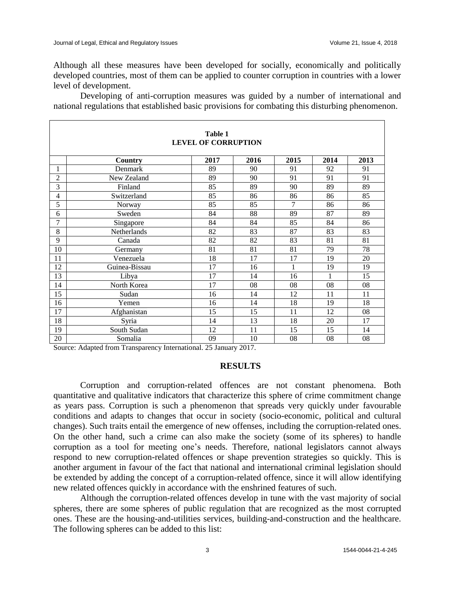Although all these measures have been developed for socially, economically and politically developed countries, most of them can be applied to counter corruption in countries with a lower level of development.

Developing of anti-corruption measures was guided by a number of international and national regulations that established basic provisions for combating this disturbing phenomenon.

| Table 1<br><b>LEVEL OF CORRUPTION</b> |               |      |      |      |      |      |  |  |
|---------------------------------------|---------------|------|------|------|------|------|--|--|
|                                       | Country       | 2017 | 2016 | 2015 | 2014 | 2013 |  |  |
| 1                                     | Denmark       | 89   | 90   | 91   | 92   | 91   |  |  |
| $\overline{2}$                        | New Zealand   | 89   | 90   | 91   | 91   | 91   |  |  |
| 3                                     | Finland       | 85   | 89   | 90   | 89   | 89   |  |  |
| 4                                     | Switzerland   | 85   | 86   | 86   | 86   | 85   |  |  |
| 5                                     | Norway        | 85   | 85   | 7    | 86   | 86   |  |  |
| 6                                     | Sweden        | 84   | 88   | 89   | 87   | 89   |  |  |
| 7                                     | Singapore     | 84   | 84   | 85   | 84   | 86   |  |  |
| 8                                     | Netherlands   | 82   | 83   | 87   | 83   | 83   |  |  |
| 9                                     | Canada        | 82   | 82   | 83   | 81   | 81   |  |  |
| 10                                    | Germany       | 81   | 81   | 81   | 79   | 78   |  |  |
| 11                                    | Venezuela     | 18   | 17   | 17   | 19   | 20   |  |  |
| 12                                    | Guinea-Bissau | 17   | 16   | 1    | 19   | 19   |  |  |
| 13                                    | Libya         | 17   | 14   | 16   | 1    | 15   |  |  |
| 14                                    | North Korea   | 17   | 08   | 08   | 08   | 08   |  |  |
| $\overline{15}$                       | Sudan         | 16   | 14   | 12   | 11   | 11   |  |  |
| 16                                    | Yemen         | 16   | 14   | 18   | 19   | 18   |  |  |
| 17                                    | Afghanistan   | 15   | 15   | 11   | 12   | 08   |  |  |
| 18                                    | Syria         | 14   | 13   | 18   | 20   | 17   |  |  |
| 19                                    | South Sudan   | 12   | 11   | 15   | 15   | 14   |  |  |
| 20                                    | Somalia       | 09   | 10   | 08   | 08   | 08   |  |  |

Source: Adapted from Transparency International. 25 January 2017.

### **RESULTS**

Corruption and corruption-related offences are not constant phenomena. Both quantitative and qualitative indicators that characterize this sphere of crime commitment change as years pass. Corruption is such a phenomenon that spreads very quickly under favourable conditions and adapts to changes that occur in society (socio-economic, political and cultural changes). Such traits entail the emergence of new offenses, including the corruption-related ones. On the other hand, such a crime can also make the society (some of its spheres) to handle corruption as a tool for meeting one's needs. Therefore, national legislators cannot always respond to new corruption-related offences or shape prevention strategies so quickly. This is another argument in favour of the fact that national and international criminal legislation should be extended by adding the concept of a corruption-related offence, since it will allow identifying new related offences quickly in accordance with the enshrined features of such.

Although the corruption-related offences develop in tune with the vast majority of social spheres, there are some spheres of public regulation that are recognized as the most corrupted ones. These are the housing-and-utilities services, building-and-construction and the healthcare. The following spheres can be added to this list: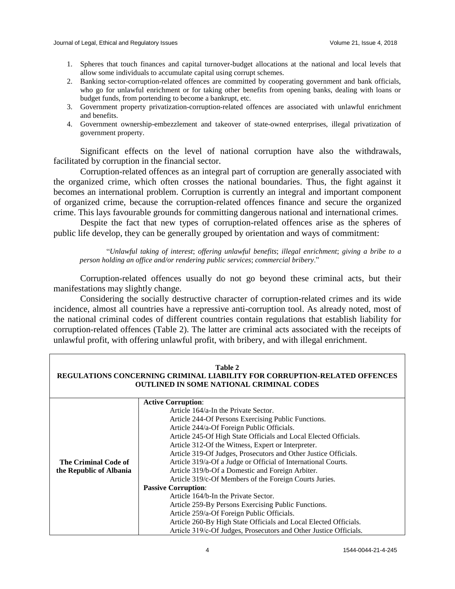- 1. Spheres that touch finances and capital turnover-budget allocations at the national and local levels that allow some individuals to accumulate capital using corrupt schemes.
- 2. Banking sector-corruption-related offences are committed by cooperating government and bank officials, who go for unlawful enrichment or for taking other benefits from opening banks, dealing with loans or budget funds, from portending to become a bankrupt, etc.
- 3. Government property privatization-corruption-related offences are associated with unlawful enrichment and benefits.
- 4. Government ownership-embezzlement and takeover of state-owned enterprises, illegal privatization of government property.

Significant effects on the level of national corruption have also the withdrawals, facilitated by corruption in the financial sector.

Corruption-related offences as an integral part of corruption are generally associated with the organized crime, which often crosses the national boundaries. Thus, the fight against it becomes an international problem. Corruption is currently an integral and important component of organized crime, because the corruption-related offences finance and secure the organized crime. This lays favourable grounds for committing dangerous national and international crimes.

Despite the fact that new types of corruption-related offences arise as the spheres of public life develop, they can be generally grouped by orientation and ways of commitment:

"*Unlawful taking of interest*; *offering unlawful benefits*; *illegal enrichment*; *giving a bribe to a person holding an office and/or rendering public services*; *commercial bribery*."

Corruption-related offences usually do not go beyond these criminal acts, but their manifestations may slightly change.

Considering the socially destructive character of corruption-related crimes and its wide incidence, almost all countries have a repressive anti-corruption tool. As already noted, most of the national criminal codes of different countries contain regulations that establish liability for corruption-related offences (Table 2). The latter are criminal acts associated with the receipts of unlawful profit, with offering unlawful profit, with bribery, and with illegal enrichment.

| Table 2<br>REGULATIONS CONCERNING CRIMINAL LIABILITY FOR CORRUPTION-RELATED OFFENCES<br><b>OUTLINED IN SOME NATIONAL CRIMINAL CODES</b> |                                                                   |  |  |  |  |  |
|-----------------------------------------------------------------------------------------------------------------------------------------|-------------------------------------------------------------------|--|--|--|--|--|
|                                                                                                                                         | <b>Active Corruption:</b>                                         |  |  |  |  |  |
|                                                                                                                                         | Article 164/a-In the Private Sector.                              |  |  |  |  |  |
|                                                                                                                                         | Article 244-Of Persons Exercising Public Functions.               |  |  |  |  |  |
|                                                                                                                                         | Article 244/a-Of Foreign Public Officials.                        |  |  |  |  |  |
|                                                                                                                                         | Article 245-Of High State Officials and Local Elected Officials.  |  |  |  |  |  |
|                                                                                                                                         | Article 312-Of the Witness, Expert or Interpreter.                |  |  |  |  |  |
|                                                                                                                                         | Article 319-Of Judges, Prosecutors and Other Justice Officials.   |  |  |  |  |  |
| The Criminal Code of                                                                                                                    | Article 319/a-Of a Judge or Official of International Courts.     |  |  |  |  |  |
| the Republic of Albania                                                                                                                 | Article 319/b-Of a Domestic and Foreign Arbiter.                  |  |  |  |  |  |
|                                                                                                                                         | Article 319/c-Of Members of the Foreign Courts Juries.            |  |  |  |  |  |
|                                                                                                                                         | <b>Passive Corruption:</b>                                        |  |  |  |  |  |
|                                                                                                                                         | Article 164/b-In the Private Sector.                              |  |  |  |  |  |
|                                                                                                                                         | Article 259-By Persons Exercising Public Functions.               |  |  |  |  |  |
|                                                                                                                                         | Article 259/a-Of Foreign Public Officials.                        |  |  |  |  |  |
|                                                                                                                                         | Article 260-By High State Officials and Local Elected Officials.  |  |  |  |  |  |
|                                                                                                                                         | Article 319/c-Of Judges, Prosecutors and Other Justice Officials. |  |  |  |  |  |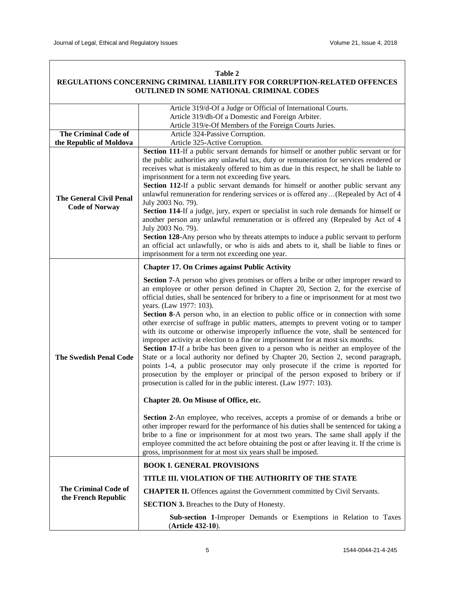| REGULATIONS CONCERNING CRIMINAL LIABILITY FOR CORRUPTION-RELATED OFFENCES<br>OUTLINED IN SOME NATIONAL CRIMINAL CODES |                                                                                                                                                                                                                                                                                                                                                                                                                                                                                                                                                                                                                                                                                                                                                                                                                                                                                                                                                                                                                                                                                                                                                                                                                                                                                                                                                                                                                                                                                                                                                                                                                                  |  |  |  |
|-----------------------------------------------------------------------------------------------------------------------|----------------------------------------------------------------------------------------------------------------------------------------------------------------------------------------------------------------------------------------------------------------------------------------------------------------------------------------------------------------------------------------------------------------------------------------------------------------------------------------------------------------------------------------------------------------------------------------------------------------------------------------------------------------------------------------------------------------------------------------------------------------------------------------------------------------------------------------------------------------------------------------------------------------------------------------------------------------------------------------------------------------------------------------------------------------------------------------------------------------------------------------------------------------------------------------------------------------------------------------------------------------------------------------------------------------------------------------------------------------------------------------------------------------------------------------------------------------------------------------------------------------------------------------------------------------------------------------------------------------------------------|--|--|--|
|                                                                                                                       | Article 319/d-Of a Judge or Official of International Courts.<br>Article 319/dh-Of a Domestic and Foreign Arbiter.                                                                                                                                                                                                                                                                                                                                                                                                                                                                                                                                                                                                                                                                                                                                                                                                                                                                                                                                                                                                                                                                                                                                                                                                                                                                                                                                                                                                                                                                                                               |  |  |  |
| The Criminal Code of<br>the Republic of Moldova                                                                       | Article 319/e-Of Members of the Foreign Courts Juries.<br>Article 324-Passive Corruption.<br>Article 325-Active Corruption.                                                                                                                                                                                                                                                                                                                                                                                                                                                                                                                                                                                                                                                                                                                                                                                                                                                                                                                                                                                                                                                                                                                                                                                                                                                                                                                                                                                                                                                                                                      |  |  |  |
| <b>The General Civil Penal</b><br><b>Code of Norway</b>                                                               | Section 111-If a public servant demands for himself or another public servant or for<br>the public authorities any unlawful tax, duty or remuneration for services rendered or<br>receives what is mistakenly offered to him as due in this respect, he shall be liable to<br>imprisonment for a term not exceeding five years.<br>Section 112-If a public servant demands for himself or another public servant any<br>unlawful remuneration for rendering services or is offered any(Repealed by Act of 4<br>July 2003 No. 79).<br>Section 114-If a judge, jury, expert or specialist in such role demands for himself or<br>another person any unlawful remuneration or is offered any (Repealed by Act of 4<br>July 2003 No. 79).<br><b>Section 128-Any person who by threats attempts to induce a public servant to perform</b><br>an official act unlawfully, or who is aids and abets to it, shall be liable to fines or<br>imprisonment for a term not exceeding one year.                                                                                                                                                                                                                                                                                                                                                                                                                                                                                                                                                                                                                                               |  |  |  |
| <b>The Swedish Penal Code</b>                                                                                         | <b>Chapter 17. On Crimes against Public Activity</b><br><b>Section 7-A</b> person who gives promises or offers a bribe or other improper reward to<br>an employee or other person defined in Chapter 20, Section 2, for the exercise of<br>official duties, shall be sentenced for bribery to a fine or imprisonment for at most two<br>years. (Law 1977: 103).<br>Section 8-A person who, in an election to public office or in connection with some<br>other exercise of suffrage in public matters, attempts to prevent voting or to tamper<br>with its outcome or otherwise improperly influence the vote, shall be sentenced for<br>improper activity at election to a fine or imprisonment for at most six months.<br>Section 17-If a bribe has been given to a person who is neither an employee of the<br>State or a local authority nor defined by Chapter 20, Section 2, second paragraph,<br>points 1-4, a public prosecutor may only prosecute if the crime is reported for<br>prosecution by the employer or principal of the person exposed to bribery or if<br>prosecution is called for in the public interest. (Law 1977: 103).<br>Chapter 20. On Misuse of Office, etc.<br><b>Section 2-An</b> employee, who receives, accepts a promise of or demands a bribe or<br>other improper reward for the performance of his duties shall be sentenced for taking a<br>bribe to a fine or imprisonment for at most two years. The same shall apply if the<br>employee committed the act before obtaining the post or after leaving it. If the crime is<br>gross, imprisonment for at most six years shall be imposed. |  |  |  |
| The Criminal Code of                                                                                                  | <b>BOOK I. GENERAL PROVISIONS</b><br>TITLE III. VIOLATION OF THE AUTHORITY OF THE STATE<br><b>CHAPTER II.</b> Offences against the Government committed by Civil Servants.                                                                                                                                                                                                                                                                                                                                                                                                                                                                                                                                                                                                                                                                                                                                                                                                                                                                                                                                                                                                                                                                                                                                                                                                                                                                                                                                                                                                                                                       |  |  |  |
| the French Republic                                                                                                   | <b>SECTION 3.</b> Breaches to the Duty of Honesty.<br>Sub-section 1-Improper Demands or Exemptions in Relation to Taxes<br>(Article 432-10).                                                                                                                                                                                                                                                                                                                                                                                                                                                                                                                                                                                                                                                                                                                                                                                                                                                                                                                                                                                                                                                                                                                                                                                                                                                                                                                                                                                                                                                                                     |  |  |  |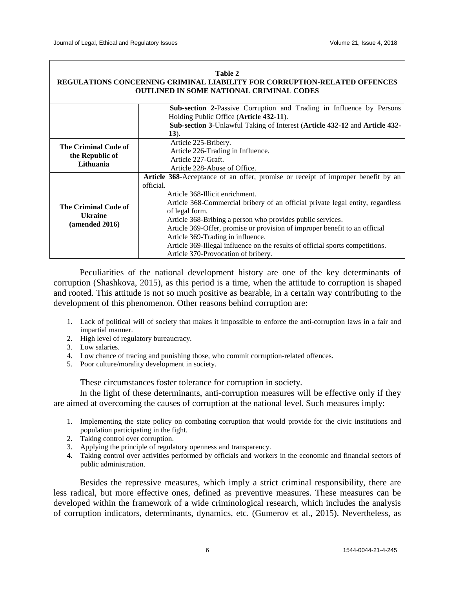| Table 2                                                                          |                                                                                                                                                                                                                                                                                                                                                                                                                                                                                                                                               |  |  |  |  |  |
|----------------------------------------------------------------------------------|-----------------------------------------------------------------------------------------------------------------------------------------------------------------------------------------------------------------------------------------------------------------------------------------------------------------------------------------------------------------------------------------------------------------------------------------------------------------------------------------------------------------------------------------------|--|--|--|--|--|
| <b>REGULATIONS CONCERNING CRIMINAL LIABILITY FOR CORRUPTION-RELATED OFFENCES</b> |                                                                                                                                                                                                                                                                                                                                                                                                                                                                                                                                               |  |  |  |  |  |
| <b>OUTLINED IN SOME NATIONAL CRIMINAL CODES</b>                                  |                                                                                                                                                                                                                                                                                                                                                                                                                                                                                                                                               |  |  |  |  |  |
|                                                                                  | Sub-section 2-Passive Corruption and Trading in Influence by Persons<br>Holding Public Office (Article 432-11).<br>Sub-section 3-Unlawful Taking of Interest (Article 432-12 and Article 432-<br>$(13)$ .                                                                                                                                                                                                                                                                                                                                     |  |  |  |  |  |
| The Criminal Code of<br>the Republic of<br>Lithuania                             | Article 225-Bribery.<br>Article 226-Trading in Influence.<br>Article 227-Graft.<br>Article 228-Abuse of Office.                                                                                                                                                                                                                                                                                                                                                                                                                               |  |  |  |  |  |
| The Criminal Code of<br><b>Ukraine</b><br>(amended 2016)                         | Article 368-Acceptance of an offer, promise or receipt of improper benefit by an<br>official.<br>Article 368-Illicit enrichment.<br>Article 368-Commercial bribery of an official private legal entity, regardless<br>of legal form.<br>Article 368-Bribing a person who provides public services.<br>Article 369-Offer, promise or provision of improper benefit to an official<br>Article 369-Trading in influence.<br>Article 369-Illegal influence on the results of official sports competitions.<br>Article 370-Provocation of bribery. |  |  |  |  |  |

Peculiarities of the national development history are one of the key determinants of corruption (Shashkova, 2015), as this period is a time, when the attitude to corruption is shaped and rooted. This attitude is not so much positive as bearable, in a certain way contributing to the development of this phenomenon. Other reasons behind corruption are:

- 1. Lack of political will of society that makes it impossible to enforce the anti-corruption laws in a fair and impartial manner.
- 2. High level of regulatory bureaucracy.
- 3. Low salaries.
- 4. Low chance of tracing and punishing those, who commit corruption-related offences.
- 5. Poor culture/morality development in society.

These circumstances foster tolerance for corruption in society.

In the light of these determinants, anti-corruption measures will be effective only if they are aimed at overcoming the causes of corruption at the national level. Such measures imply:

- 1. Implementing the state policy on combating corruption that would provide for the civic institutions and population participating in the fight.
- 2. Taking control over corruption.
- 3. Applying the principle of regulatory openness and transparency.
- 4. Taking control over activities performed by officials and workers in the economic and financial sectors of public administration.

Besides the repressive measures, which imply a strict criminal responsibility, there are less radical, but more effective ones, defined as preventive measures. These measures can be developed within the framework of a wide criminological research, which includes the analysis of corruption indicators, determinants, dynamics, etc. (Gumerov et al., 2015). Nevertheless, as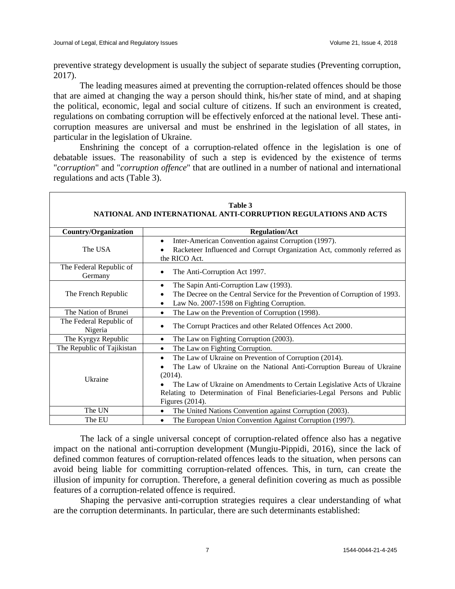preventive strategy development is usually the subject of separate studies (Preventing corruption, 2017).

The leading measures aimed at preventing the corruption-related offences should be those that are aimed at changing the way a person should think, his/her state of mind, and at shaping the political, economic, legal and social culture of citizens. If such an environment is created, regulations on combating corruption will be effectively enforced at the national level. These anticorruption measures are universal and must be enshrined in the legislation of all states, in particular in the legislation of Ukraine.

Enshrining the concept of a corruption-related offence in the legislation is one of debatable issues. The reasonability of such a step is evidenced by the existence of terms "*corruption*" and "*corruption offence*" that are outlined in a number of national and international regulations and acts (Table 3).

| Table 3<br>NATIONAL AND INTERNATIONAL ANTI-CORRUPTION REGULATIONS AND ACTS |                                                                                                                                                                                                                      |  |  |  |  |
|----------------------------------------------------------------------------|----------------------------------------------------------------------------------------------------------------------------------------------------------------------------------------------------------------------|--|--|--|--|
| <b>Country/Organization</b>                                                | <b>Regulation/Act</b>                                                                                                                                                                                                |  |  |  |  |
| The USA                                                                    | Inter-American Convention against Corruption (1997).<br>$\bullet$<br>Racketeer Influenced and Corrupt Organization Act, commonly referred as<br>the RICO Act.                                                        |  |  |  |  |
| The Federal Republic of<br>Germany                                         | The Anti-Corruption Act 1997.                                                                                                                                                                                        |  |  |  |  |
| The French Republic                                                        | The Sapin Anti-Corruption Law (1993).<br>٠<br>The Decree on the Central Service for the Prevention of Corruption of 1993.<br>Law No. 2007-1598 on Fighting Corruption.                                               |  |  |  |  |
| The Nation of Brunei                                                       | The Law on the Prevention of Corruption (1998).<br>$\bullet$                                                                                                                                                         |  |  |  |  |
| The Federal Republic of<br>Nigeria                                         | The Corrupt Practices and other Related Offences Act 2000.                                                                                                                                                           |  |  |  |  |
| The Kyrgyz Republic                                                        | The Law on Fighting Corruption (2003).                                                                                                                                                                               |  |  |  |  |
| The Republic of Tajikistan                                                 | The Law on Fighting Corruption.                                                                                                                                                                                      |  |  |  |  |
| Ukraine                                                                    | The Law of Ukraine on Prevention of Corruption (2014).<br>The Law of Ukraine on the National Anti-Corruption Bureau of Ukraine<br>(2014).<br>The Law of Ukraine on Amendments to Certain Legislative Acts of Ukraine |  |  |  |  |
|                                                                            | Relating to Determination of Final Beneficiaries-Legal Persons and Public<br>Figures (2014).                                                                                                                         |  |  |  |  |
| The UN                                                                     | The United Nations Convention against Corruption (2003).                                                                                                                                                             |  |  |  |  |
| The EU                                                                     | The European Union Convention Against Corruption (1997).                                                                                                                                                             |  |  |  |  |

The lack of a single universal concept of corruption-related offence also has a negative impact on the national anti-corruption development (Mungiu-Pippidi, 2016), since the lack of defined common features of corruption-related offences leads to the situation, when persons can avoid being liable for committing corruption-related offences. This, in turn, can create the illusion of impunity for corruption. Therefore, a general definition covering as much as possible features of a corruption-related offence is required.

Shaping the pervasive anti-corruption strategies requires a clear understanding of what are the corruption determinants. In particular, there are such determinants established: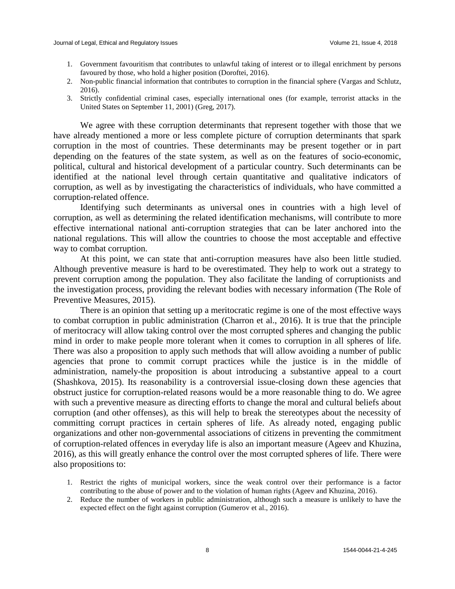- 1. Government favouritism that contributes to unlawful taking of interest or to illegal enrichment by persons favoured by those, who hold a higher position (Doroftei, 2016).
- 2. Non-public financial information that contributes to corruption in the financial sphere (Vargas and Schlutz, 2016).
- 3. Strictly confidential criminal cases, especially international ones (for example, terrorist attacks in the United States on September 11, 2001) (Greg, 2017).

We agree with these corruption determinants that represent together with those that we have already mentioned a more or less complete picture of corruption determinants that spark corruption in the most of countries. These determinants may be present together or in part depending on the features of the state system, as well as on the features of socio-economic, political, cultural and historical development of a particular country. Such determinants can be identified at the national level through certain quantitative and qualitative indicators of corruption, as well as by investigating the characteristics of individuals, who have committed a corruption-related offence.

Identifying such determinants as universal ones in countries with a high level of corruption, as well as determining the related identification mechanisms, will contribute to more effective international national anti-corruption strategies that can be later anchored into the national regulations. This will allow the countries to choose the most acceptable and effective way to combat corruption.

At this point, we can state that anti-corruption measures have also been little studied. Although preventive measure is hard to be overestimated. They help to work out a strategy to prevent corruption among the population. They also facilitate the landing of corruptionists and the investigation process, providing the relevant bodies with necessary information (The Role of Preventive Measures, 2015).

There is an opinion that setting up a meritocratic regime is one of the most effective ways to combat corruption in public administration (Charron et al., 2016). It is true that the principle of meritocracy will allow taking control over the most corrupted spheres and changing the public mind in order to make people more tolerant when it comes to corruption in all spheres of life. There was also a proposition to apply such methods that will allow avoiding a number of public agencies that prone to commit corrupt practices while the justice is in the middle of administration, namely-the proposition is about introducing a substantive appeal to a court (Shashkova, 2015). Its reasonability is a controversial issue-closing down these agencies that obstruct justice for corruption-related reasons would be a more reasonable thing to do. We agree with such a preventive measure as directing efforts to change the moral and cultural beliefs about corruption (and other offenses), as this will help to break the stereotypes about the necessity of committing corrupt practices in certain spheres of life. As already noted, engaging public organizations and other non-governmental associations of citizens in preventing the commitment of corruption-related offences in everyday life is also an important measure (Ageev and Khuzina, 2016), as this will greatly enhance the control over the most corrupted spheres of life. There were also propositions to:

- 1. Restrict the rights of municipal workers, since the weak control over their performance is a factor contributing to the abuse of power and to the violation of human rights (Ageev and Khuzina, 2016).
- 2. Reduce the number of workers in public administration, although such a measure is unlikely to have the expected effect on the fight against corruption (Gumerov et al., 2016).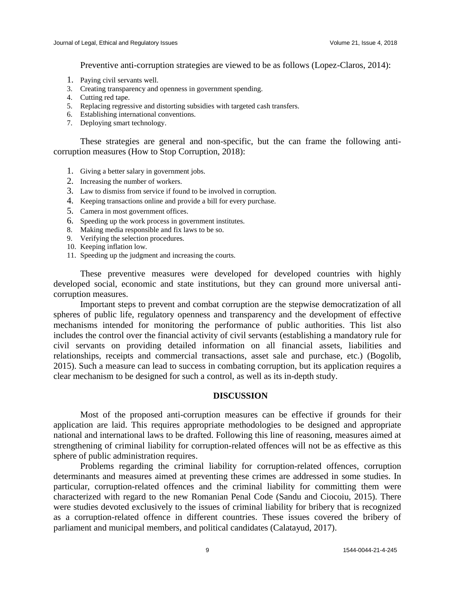Preventive anti-corruption strategies are viewed to be as follows (Lopez-Claros, 2014):

- 1. Paying civil servants well.
- 3. Creating transparency and openness in government spending.
- 4. Cutting red tape.
- 5. Replacing regressive and distorting subsidies with targeted cash transfers.
- 6. Establishing international conventions.
- 7. Deploying smart technology.

These strategies are general and non-specific, but the can frame the following anticorruption measures (How to Stop Corruption, 2018):

- 1. Giving a better salary in government jobs.
- 2. Increasing the number of workers.
- 3. Law to dismiss from service if found to be involved in corruption.
- 4. Keeping transactions online and provide a bill for every purchase.
- 5. Camera in most government offices.
- 6. Speeding up the work process in government institutes.
- 8. Making media responsible and fix laws to be so.
- 9. Verifying the selection procedures.
- 10. Keeping inflation low.
- 11. Speeding up the judgment and increasing the courts.

These preventive measures were developed for developed countries with highly developed social, economic and state institutions, but they can ground more universal anticorruption measures.

Important steps to prevent and combat corruption are the stepwise democratization of all spheres of public life, regulatory openness and transparency and the development of effective mechanisms intended for monitoring the performance of public authorities. This list also includes the control over the financial activity of civil servants (establishing a mandatory rule for civil servants on providing detailed information on all financial assets, liabilities and relationships, receipts and commercial transactions, asset sale and purchase, etc.) (Bogolib, 2015). Such a measure can lead to success in combating corruption, but its application requires a clear mechanism to be designed for such a control, as well as its in-depth study.

#### **DISCUSSION**

Most of the proposed anti-corruption measures can be effective if grounds for their application are laid. This requires appropriate methodologies to be designed and appropriate national and international laws to be drafted. Following this line of reasoning, measures aimed at strengthening of criminal liability for corruption-related offences will not be as effective as this sphere of public administration requires.

Problems regarding the criminal liability for corruption-related offences, corruption determinants and measures aimed at preventing these crimes are addressed in some studies. In particular, corruption-related offences and the criminal liability for committing them were characterized with regard to the new Romanian Penal Code (Sandu and Ciocoiu, 2015). There were studies devoted exclusively to the issues of criminal liability for bribery that is recognized as a corruption-related offence in different countries. These issues covered the bribery of parliament and municipal members, and political candidates (Calatayud, 2017).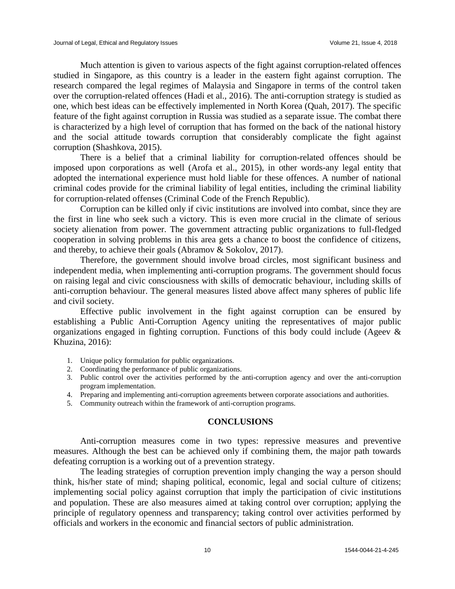Much attention is given to various aspects of the fight against corruption-related offences studied in Singapore, as this country is a leader in the eastern fight against corruption. The research compared the legal regimes of Malaysia and Singapore in terms of the control taken over the corruption-related offences (Hadi et al., 2016). The anti-corruption strategy is studied as one, which best ideas can be effectively implemented in North Korea (Quah, 2017). The specific feature of the fight against corruption in Russia was studied as a separate issue. The combat there is characterized by a high level of corruption that has formed on the back of the national history and the social attitude towards corruption that considerably complicate the fight against corruption (Shashkova, 2015).

There is a belief that a criminal liability for corruption-related offences should be imposed upon corporations as well (Arofa et al., 2015), in other words-any legal entity that adopted the international experience must hold liable for these offences. A number of national criminal codes provide for the criminal liability of legal entities, including the criminal liability for corruption-related offenses (Criminal Code of the French Republic).

Corruption can be killed only if civic institutions are involved into combat, since they are the first in line who seek such a victory. This is even more crucial in the climate of serious society alienation from power. The government attracting public organizations to full-fledged cooperation in solving problems in this area gets a chance to boost the confidence of citizens, and thereby, to achieve their goals (Abramov & Sokolov, 2017).

Therefore, the government should involve broad circles, most significant business and independent media, when implementing anti-corruption programs. The government should focus on raising legal and civic consciousness with skills of democratic behaviour, including skills of anti-corruption behaviour. The general measures listed above affect many spheres of public life and civil society.

Effective public involvement in the fight against corruption can be ensured by establishing a Public Anti-Corruption Agency uniting the representatives of major public organizations engaged in fighting corruption. Functions of this body could include (Ageev & Khuzina, 2016):

- 1. Unique policy formulation for public organizations.
- 2. Coordinating the performance of public organizations.
- 3. Public control over the activities performed by the anti-corruption agency and over the anti-corruption program implementation.
- 4. Preparing and implementing anti-corruption agreements between corporate associations and authorities.
- 5. Community outreach within the framework of anti-corruption programs.

#### **CONCLUSIONS**

Anti-corruption measures come in two types: repressive measures and preventive measures. Although the best can be achieved only if combining them, the major path towards defeating corruption is a working out of a prevention strategy.

The leading strategies of corruption prevention imply changing the way a person should think, his/her state of mind; shaping political, economic, legal and social culture of citizens; implementing social policy against corruption that imply the participation of civic institutions and population. These are also measures aimed at taking control over corruption; applying the principle of regulatory openness and transparency; taking control over activities performed by officials and workers in the economic and financial sectors of public administration.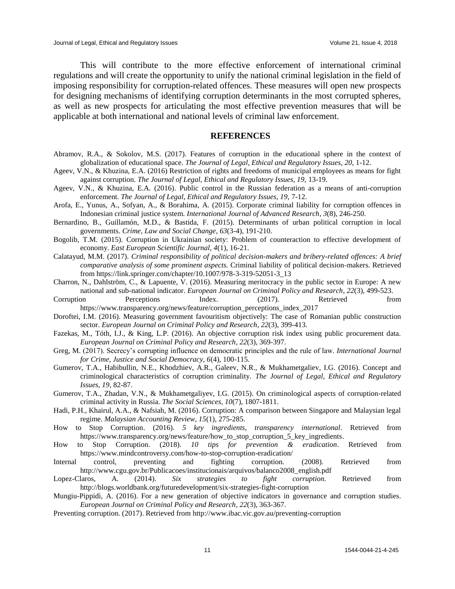This will contribute to the more effective enforcement of international criminal regulations and will create the opportunity to unify the national criminal legislation in the field of imposing responsibility for corruption-related offences. These measures will open new prospects for designing mechanisms of identifying corruption determinants in the most corrupted spheres, as well as new prospects for articulating the most effective prevention measures that will be applicable at both international and national levels of criminal law enforcement.

#### **REFERENCES**

Abramov, R.A., & Sokolov, M.S. (2017). Features of corruption in the educational sphere in the context of globalization of educational space. *The Journal of Legal, Ethical and Regulatory Issues, 20*, 1-12.

Ageev, V.N., & Khuzina, E.A. (2016) Restriction of rights and freedoms of municipal employees as means for fight against corruption. *The Journal of Legal, Ethical and Regulatory Issues, 19,* 13-19.

- Ageev, V.N., & Khuzina, E.A. (2016). Public control in the Russian federation as a means of anti-corruption enforcement. *The Journal of Legal, Ethical and Regulatory Issues, 19, 7-12.*
- Arofa, E., Yunus, A., Sofyan, A., & Borahima, A. (2015). Corporate criminal liability for corruption offences in Indonesian criminal justice system. *International Journal of Advanced Research*, *3*(8), 246-250.
- Bernardino, B., Guillamón, M.D., & Bastida, F. (2015). Determinants of urban political corruption in local governments. *Crime, Law and Social Change*, *63*(3-4), 191-210.
- Bogolib, T.M. (2015). Corruption in Ukrainian society: Problem of counteraction to effective development of economy. *East European Scientific Journal, 4*(1), 16-21.
- Calatayud, M.M. (2017). *Criminal responsibility of political decision-makers and bribery-related offences: A brief comparative analysis of some prominent aspects.* Criminal liability of political decision-makers. Retrieved from https://link.springer.com/chapter/10.1007/978-3-319-52051-3\_13
- [Charron, N.,](javascript:void(0);) Dahlström, C., & [Lapuente, V.](javascript:void(0);) (2016). Measuring meritocracy in the public sector in Europe: A new national and sub-national indicator. *[European Journal on Criminal Policy and Research,](https://link.springer.com/journal/10610) 22*[\(3\)](https://link.springer.com/journal/10610/22/3/page/1), 499-523.
- Corruption Perceptions Index. (2017). Retrieved from https://www.transparency.org/news/feature/corruption\_perceptions\_index\_2017
- Doroftei, I.M. (2016). Measuring government favouritism objectively: The case of Romanian public construction sector. *[European Journal on Criminal Policy and Research,](https://link.springer.com/journal/10610) 22*[\(3\)](https://link.springer.com/journal/10610/22/3/page/1), 399-413.
- Fazekas, M., Tóth, I.J., & King, L.P. (2016). An objective corruption risk index using public procurement data. *[European Journal on Criminal Policy and Research,](https://link.springer.com/journal/10610) 22*[\(3\)](file:///D:/Горлач%20Поліна%202/400/3), 369-397.
- Greg, M. (2017). Secrecy's corrupting influence on democratic principles and the rule of law. *International Journal for Crime, Justice and Social Democracy, 6*(4), 100-115.
- Gumerov, T.A., Habibullin, N.E., Khodzhiev, A.R., Galeev, N.R., & Mukhametgaliev, I.G. (2016). Concept and criminological characteristics of corruption criminality. *The Journal of Legal, Ethical and Regulatory Issues, 19,* 82-87.
- Gumerov, T.A., Zhadan, V.N., & Mukhametgaliyev, I.G. (2015). On criminological aspects of corruption-related criminal activity in Russia. *The Social Sciences, 10*(7), 1807-1811.
- Hadi, P.H., Khairul, A.A., & Nafsiah, M. (2016). Corruption: A comparison between Singapore and Malaysian legal regime. *Malaysian Accounting Review*, *15*(1), 275-285.
- How to Stop Corruption. (2016). *5 key ingredients, transparency international*. Retrieved from https://www.transparency.org/news/feature/how\_to\_stop\_corruption\_5\_key\_ingredients.
- How to Stop Corruption. (2018). *10 tips for prevention & eradication*. Retrieved from https://www.mindcontroversy.com/how-to-stop-corruption-eradication/
- Internal control, preventing and fighting corruption. (2008). Retrieved from http://www.cgu.gov.br/Publicacoes/institucionais/arquivos/balanco2008\_english.pdf
- Lopez-Claros, A. (2014). *Six strategies to fight corruption.* Retrieved from http://blogs.worldbank.org/futuredevelopment/six-strategies-fight-corruption

Mungiu-Pippidi, A. (2016). For a new generation of objective indicators in governance and corruption studies. *European Journal on Criminal Policy and Research, 22*[\(3\)](file:///D:/Горлач%20Поліна%202/400/3), 363-367.

Preventing corruption. (2017). Retrieved from http://www.ibac.vic.gov.au/preventing-corruption